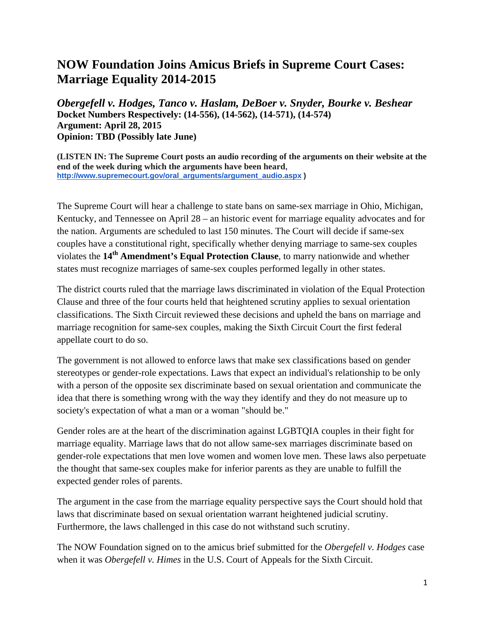## **NOW Foundation Joins Amicus Briefs in Supreme Court Cases: Marriage Equality 2014-2015**

*Obergefell v. Hodges, Tanco v. Haslam, DeBoer v. Snyder, Bourke v. Beshear* **Docket Numbers Respectively: (14-556), (14-562), (14-571), (14-574) Argument: April 28, 2015 Opinion: TBD (Possibly late June)**

**(LISTEN IN: The Supreme Court posts an audio recording of the arguments on their website at the end of the week during which the arguments have been heard, [http://www.supremecourt.gov/oral\\_arguments/argument\\_audio.aspx](http://www.supremecourt.gov/oral_arguments/argument_audio.aspx) )**

The Supreme Court will hear a challenge to state bans on same-sex marriage in Ohio, Michigan, Kentucky, and Tennessee on April 28 – an historic event for marriage equality advocates and for the nation. Arguments are scheduled to last 150 minutes. The Court will decide if same-sex couples have a constitutional right, specifically whether denying marriage to same-sex couples violates the **14th Amendment's Equal Protection Clause**, to marry nationwide and whether states must recognize marriages of same-sex couples performed legally in other states.

The district courts ruled that the marriage laws discriminated in violation of the Equal Protection Clause and three of the four courts held that heightened scrutiny applies to sexual orientation classifications. The Sixth Circuit reviewed these decisions and upheld the bans on marriage and marriage recognition for same-sex couples, making the Sixth Circuit Court the first federal appellate court to do so.

The government is not allowed to enforce laws that make sex classifications based on gender stereotypes or gender-role expectations. Laws that expect an individual's relationship to be only with a person of the opposite sex discriminate based on sexual orientation and communicate the idea that there is something wrong with the way they identify and they do not measure up to society's expectation of what a man or a woman "should be."

Gender roles are at the heart of the discrimination against LGBTQIA couples in their fight for marriage equality. Marriage laws that do not allow same-sex marriages discriminate based on gender-role expectations that men love women and women love men. These laws also perpetuate the thought that same-sex couples make for inferior parents as they are unable to fulfill the expected gender roles of parents.

The argument in the case from the marriage equality perspective says the Court should hold that laws that discriminate based on sexual orientation warrant heightened judicial scrutiny. Furthermore, the laws challenged in this case do not withstand such scrutiny.

The NOW Foundation signed on to the amicus brief submitted for the *Obergefell v. Hodges* case when it was *Obergefell v. Himes* in the U.S. Court of Appeals for the Sixth Circuit.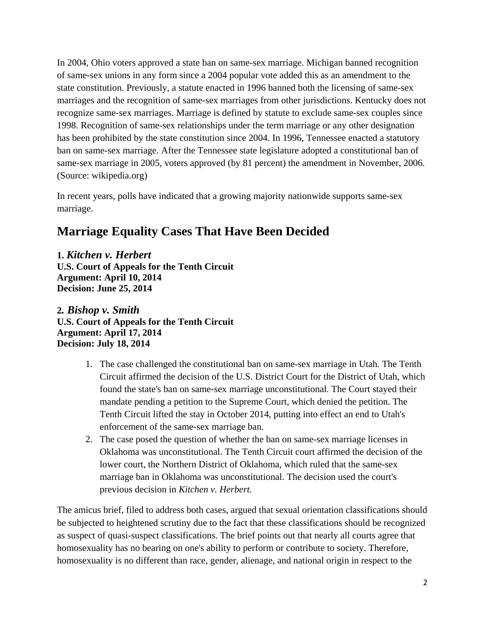In 2004, Ohio voters approved a state ban on same-sex marriage. Michigan banned recognition of same-sex unions in any form since a 2004 popular vote added this as an amendment to the state constitution. Previously, a statute enacted in 1996 banned both the licensing of same-sex marriages and the recognition of same-sex marriages from other jurisdictions. Kentucky does not recognize same-sex marriages. Marriage is defined by statute to exclude same-sex couples since 1998. Recognition of same-sex relationships under the term marriage or any other designation has been prohibited by the state constitution since 2004. In 1996, Tennessee enacted a statutory ban on same-sex marriage. After the Tennessee state legislature adopted a constitutional ban of same-sex marriage in 2005, voters approved (by 81 percent) the amendment in November, 2006. (Source: wikipedia.org)

In recent years, polls have indicated that a growing majority nationwide supports same-sex marriage.

## **Marriage Equality Cases That Have Been Decided**

**1.** *Kitchen v. Herbert* **U.S. Court of Appeals for the Tenth Circuit Argument: April 10, 2014 Decision: June 25, 2014**

**2***. Bishop v. Smith* **U.S. Court of Appeals for the Tenth Circuit Argument: April 17, 2014 Decision: July 18, 2014**

- 1. The case challenged the constitutional ban on same-sex marriage in Utah. The Tenth Circuit affirmed the decision of the U.S. District Court for the District of Utah, which found the state's ban on same-sex marriage unconstitutional. The Court stayed their mandate pending a petition to the Supreme Court, which denied the petition. The Tenth Circuit lifted the stay in October 2014, putting into effect an end to Utah's enforcement of the same-sex marriage ban.
- 2. The case posed the question of whether the ban on same-sex marriage licenses in Oklahoma was unconstitutional. The Tenth Circuit court affirmed the decision of the lower court, the Northern District of Oklahoma, which ruled that the same-sex marriage ban in Oklahoma was unconstitutional. The decision used the court's previous decision in *Kitchen v. Herbert.*

The amicus brief, filed to address both cases, argued that sexual orientation classifications should be subjected to heightened scrutiny due to the fact that these classifications should be recognized as suspect of quasi-suspect classifications. The brief points out that nearly all courts agree that homosexuality has no bearing on one's ability to perform or contribute to society. Therefore, homosexuality is no different than race, gender, alienage, and national origin in respect to the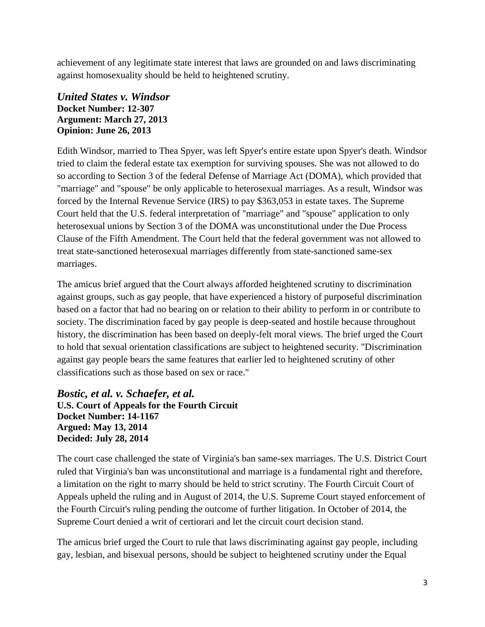achievement of any legitimate state interest that laws are grounded on and laws discriminating against homosexuality should be held to heightened scrutiny.

## *United States v. Windsor* **Docket Number: 12-307 Argument: March 27, 2013 Opinion: June 26, 2013**

Edith Windsor, married to Thea Spyer, was left Spyer's entire estate upon Spyer's death. Windsor tried to claim the federal estate tax exemption for surviving spouses. She was not allowed to do so according to Section 3 of the federal Defense of Marriage Act (DOMA), which provided that "marriage" and "spouse" be only applicable to heterosexual marriages. As a result, Windsor was forced by the Internal Revenue Service (IRS) to pay \$363,053 in estate taxes. The Supreme Court held that the U.S. federal interpretation of "marriage" and "spouse" application to only heterosexual unions by Section 3 of the DOMA was unconstitutional under the Due Process Clause of the Fifth Amendment. The Court held that the federal government was not allowed to treat state-sanctioned heterosexual marriages differently from state-sanctioned same-sex marriages.

The amicus brief argued that the Court always afforded heightened scrutiny to discrimination against groups, such as gay people, that have experienced a history of purposeful discrimination based on a factor that had no bearing on or relation to their ability to perform in or contribute to society. The discrimination faced by gay people is deep-seated and hostile because throughout history, the discrimination has been based on deeply-felt moral views. The brief urged the Court to hold that sexual orientation classifications are subject to heightened security. "Discrimination against gay people bears the same features that earlier led to heightened scrutiny of other classifications such as those based on sex or race."

## *Bostic, et al. v. Schaefer, et al.* **U.S. Court of Appeals for the Fourth Circuit Docket Number: 14-1167 Argued: May 13, 2014 Decided: July 28, 2014**

The court case challenged the state of Virginia's ban same-sex marriages. The U.S. District Court ruled that Virginia's ban was unconstitutional and marriage is a fundamental right and therefore, a limitation on the right to marry should be held to strict scrutiny. The Fourth Circuit Court of Appeals upheld the ruling and in August of 2014, the U.S. Supreme Court stayed enforcement of the Fourth Circuit's ruling pending the outcome of further litigation. In October of 2014, the Supreme Court denied a writ of certiorari and let the circuit court decision stand.

The amicus brief urged the Court to rule that laws discriminating against gay people, including gay, lesbian, and bisexual persons, should be subject to heightened scrutiny under the Equal